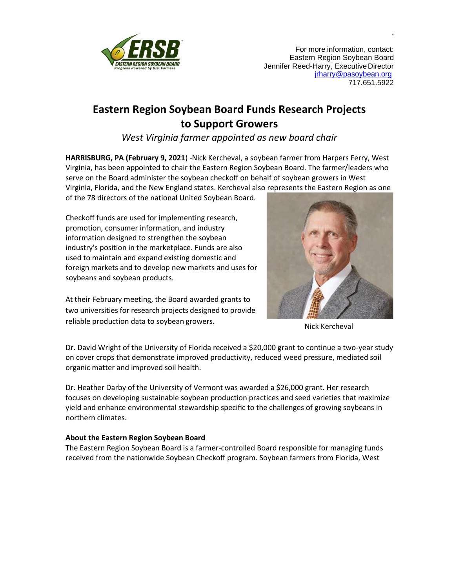

For more information, contact: Eastern Region Soybean Board Jennifer Reed-Harry, ExecutiveDirector [jrharry@pasoybean.org](mailto:jrharry@pasoybean.org) 717.651.5922

.

## **Eastern Region Soybean Board Funds Research Projects to Support Growers**

*West Virginia farmer appointed as new board chair*

**HARRISBURG, PA (February 9, 2021**) -Nick Kercheval, a soybean farmer from Harpers Ferry, West Virginia, has been appointed to chair the Eastern Region Soybean Board. The farmer/leaders who serve on the Board administer the soybean checkoff on behalf of soybean growers in West Virginia, Florida, and the New England states. Kercheval also represents the Eastern Region as one

of the 78 directors of the national United Soybean Board.

Checkoff funds are used for implementing research, promotion, consumer information, and industry information designed to strengthen the soybean industry's position in the marketplace. Funds are also used to maintain and expand existing domestic and foreign markets and to develop new markets and uses for soybeans and soybean products.

At their February meeting, the Board awarded grants to two universities for research projects designed to provide reliable production data to soybean growers.<br>Nick Kercheval



Dr. David Wright of the University of Florida received a \$20,000 grant to continue a two-year study on cover crops that demonstrate improved productivity, reduced weed pressure, mediated soil organic matter and improved soil health.

Dr. Heather Darby of the University of Vermont was awarded a \$26,000 grant. Her research focuses on developing sustainable soybean production practices and seed varieties that maximize yield and enhance environmental stewardship specific to the challenges of growing soybeans in northern climates.

## **About the Eastern Region Soybean Board**

The Eastern Region Soybean Board is a farmer-controlled Board responsible for managing funds received from the nationwide Soybean Checkoff program. Soybean farmers from Florida, West